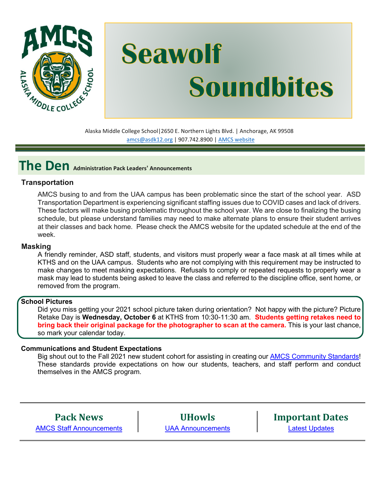

# **Seawolf Soundbites**

Alaska Middle College School|2650 E. Northern Lights Blvd. | Anchorage, AK 99508 [amcs@asdk12.org](mailto:amcs@asdk12.org) | 907.742.8900 | AMCS [website](https://www.asdk12.org/amcs)

## **The Den Administration Pack Leaders' Announcements**

#### **Transportation**

AMCS busing to and from the UAA campus has been problematic since the start of the school year. ASD Transportation Department is experiencing significant staffing issues due to COVID cases and lack of drivers. These factors will make busing problematic throughout the school year. We are close to finalizing the busing schedule, but please understand families may need to make alternate plans to ensure their student arrives at their classes and back home. Please check the AMCS website for the updated schedule at the end of the week.

#### **Masking**

A friendly reminder, ASD staff, students, and visitors must properly wear a face mask at all times while at KTHS and on the UAA campus. Students who are not complying with this requirement may be instructed to make changes to meet masking expectations. Refusals to comply or repeated requests to properly wear a mask may lead to students being asked to leave the class and referred to the discipline office, sent home, or removed from the program.

#### **School Pictures**

Did you miss getting your 2021 school picture taken during orientation? Not happy with the picture? Picture Retake Day is **Wednesday, October 6** at KTHS from 10:30-11:30 am. **Students getting retakes need to bring back their original package for the photographer to scan at the camera.** This is your last chance, so mark your calendar today.

#### **Communications and Student Expectations**

Big shout out to the Fall 2021 new student cohort for assisting in creating our [AMCS Community Standards!](#page-4-0) These standards provide expectations on how our students, teachers, and staff perform and conduct themselves in the AMCS program.

**Pack News** [AMCS Staff Announcements](#page-2-0)

**UHowls** [UAA Announcements](#page-2-1) **Important Dates** [Latest Updates](#page-3-0)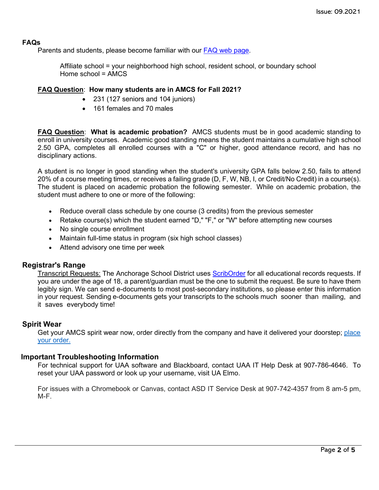#### **FAQs**

Parents and students, please become familiar with our [FAQ web page.](https://www.asdk12.org/Page/9779)

Affiliate school = your neighborhood high school, resident school, or boundary school Home school  $= AMCS$ 

#### **FAQ Question**: **How many students are in AMCS for Fall 2021?**

- 231 (127 seniors and 104 juniors)
- 161 females and 70 males

**FAQ Question**: **What is academic probation?** AMCS students must be in good academic standing to enroll in university courses. Academic good standing means the student maintains a cumulative high school 2.50 GPA, completes all enrolled courses with a "C" or higher, good attendance record, and has no disciplinary actions.

A student is no longer in good standing when the student's university GPA falls below 2.50, fails to attend 20% of a course meeting times, or receives a failing grade (D, F, W, NB, I, or Credit/No Credit) in a course(s). The student is placed on academic probation the following semester. While on academic probation, the student must adhere to one or more of the following:

- Reduce overall class schedule by one course (3 credits) from the previous semester
- Retake course(s) which the student earned "D," "F," or "W" before attempting new courses
- No single course enrollment
- Maintain full-time status in program (six high school classes)
- Attend advisory one time per week

#### **Registrar's Range**

Transcript Requests: The Anchorage School District uses [ScribOrder](https://anchorageak.scriborder.com/) for all educational records requests. If you are under the age of 18, a parent/guardian must be the one to submit the request. Be sure to have them legibly sign. We can send e-documents to most post-secondary institutions, so please enter this information in your request. Sending e-documents gets your transcripts to the schools much sooner than mailing, and it saves everybody time!

#### **Spirit Wear**

Get your AMCS spirit wear now, order directly from the company and have it delivered your doorstep; [place](http://www.tntsportsalaska.com/alaska-middle-college-school) your [order.](http://www.tntsportsalaska.com/alaska-middle-college-school)

#### **Important Troubleshooting Information**

For technical support for UAA software and Blackboard, contact UAA IT Help Desk at 907-786-4646. To reset your UAA password or look up your username, visit [UA Elmo.](https://elmo.alaska.edu/) 

For issues with a Chromebook or Canvas, contact ASD IT Service Desk at 907-742-4357 from 8 am-5 pm, M-F.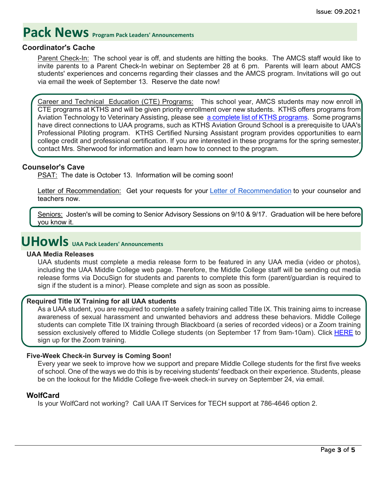# <span id="page-2-0"></span>**Pack News** Program Pack Leaders' Announcements

#### **Coordinator's Cache**

Parent Check-In: The school year is off, and students are hitting the books. The AMCS staff would like to invite parents to a Parent Check-In webinar on September 28 at 6 pm. Parents will learn about AMCS students' experiences and concerns regarding their classes and the AMCS program. Invitations will go out via email the week of September 13. Reserve the date now!

Career and Technical Education (CTE) Programs: This school year, AMCS students may now enroll in CTE programs at KTHS and will be given priority enrollment over new students. KTHS offers programs from Aviation Technology to Veterinary Assisting, please see [a complete list of KTHS programs.](https://www.asdk12.org/domain/1882) Some programs have direct connections to UAA programs, such as KTHS Aviation Ground School is a prerequisite to UAA's Professional Piloting program. KTHS Certified Nursing Assistant program provides opportunities to earn college credit and professional certification. If you are interested in these programs for the spring semester, contact Mrs. Sherwood for information and learn how to connect to the program.

#### **Counselor's Cave**

PSAT: The date is October 13. Information will be coming soon!

Letter of [Recommendation](https://nam12.safelinks.protection.outlook.com/?url=https%3A%2F%2Fwww.asdk12.org%2Fcms%2Flib%2FAK02207157%2FCentricity%2FDomain%2F5808%2FLetter%2520of%2520Rec%2520Request%2520Fillable%2520Form.pdf&data=04%7C01%7CGriffis_Kimberly%40asdk12.org%7C199058ad413545f3b10f08d96d68b78f%7C036ce601e95a4e46a3bd6b742ed4bb35%7C0%7C0%7C637661118785658965%7CUnknown%7CTWFpbGZsb3d8eyJWIjoiMC4wLjAwMDAiLCJQIjoiV2luMzIiLCJBTiI6Ik1haWwiLCJXVCI6Mn0%3D%7C1000&sdata=r0aJD8YbD5AtT78VjVF%2BNfL5yk085odabiAx6JsAdFM%3D&reserved=0): Get your requests for your Letter of Recommendation to your counselor and teachers now.

Seniors: Josten's will be coming to Senior Advisory Sessions on 9/10 & 9/17. Graduation will be here before you know it.

# <span id="page-2-1"></span>**UHowls UAA Pack Leaders' Announcements**

#### **UAA Media Releases**

UAA students must complete a media release form to be featured in any UAA media (video or photos), including the UAA Middle College web page. Therefore, the Middle College staff will be sending out media release forms via DocuSign for students and parents to complete this form (parent/guardian is required to sign if the student is a minor). Please complete and sign as soon as possible.

#### **Required Title IX Training for all UAA students**

As a UAA student, you are required to complete a safety training called Title IX. This training aims to increase awareness of sexual harassment and unwanted behaviors and address these behaviors. Middle College students can complete Title IX training through Blackboard (a series of recorded videos) or a Zoom training session exclusively offered to Middle College students (on September 17 from 9am-10am). Click [HERE](https://nam12.safelinks.protection.outlook.com/?url=https%3A%2F%2Falaska.zoom.us%2Fmeeting%2Fregister%2FtZEqdOusrj8vGdOIpPttUUzPreSxGAH65XrY&data=04%7C01%7CGriffis_Kimberly%40asdk12.org%7C2845ae00d3434d950f2c08d96c00d17f%7C036ce601e95a4e46a3bd6b742ed4bb35%7C0%7C0%7C637659573043919263%7CUnknown%7CTWFpbGZsb3d8eyJWIjoiMC4wLjAwMDAiLCJQIjoiV2luMzIiLCJBTiI6Ik1haWwiLCJXVCI6Mn0%3D%7C1000&sdata=5SELlH65NKmUheV4vXyuxBxjkSz%2B9kOV%2B%2BDZbHneqTQ%3D&reserved=0) to sign up for the Zoom training.

#### **Five-Week Check-in Survey is Coming Soon!**

Every year we seek to improve how we support and prepare Middle College students for the first five weeks of school. One of the ways we do this is by receiving students' feedback on their experience. Students, please be on the lookout for the Middle College five-week check-in survey on September 24, via email.

#### **WolfCard**

Is your WolfCard not working? Call UAA IT Services for TECH support at 786-4646 option 2.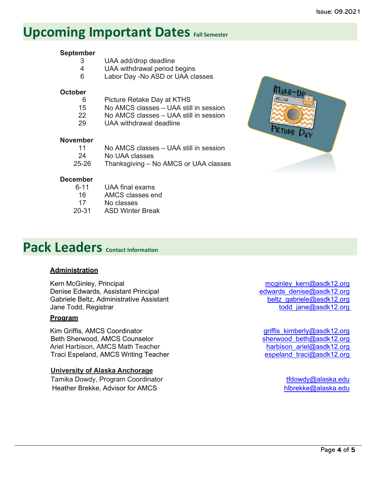## <span id="page-3-0"></span>**Upcoming Important Dates Fall Semester**

## **September**

- 3 UAA add/drop deadline
- 4 UAA withdrawal period begins<br>6 Labor Dav No ASD or UAA cl
- Labor Day -No ASD or UAA classes

#### **October**

- 6 Picture Retake Day at KTHS
- 15 No AMCS classes UAA still in session
- 22 No AMCS classes UAA still in session<br>29 UAA withdrawal deadline
- UAA withdrawal deadline

#### **November**

| $-11$ | No AMCS classes – UAA still in session |
|-------|----------------------------------------|
| -24   | No UAA classes                         |
| 25-26 | Thanksgiving – No AMCS or UAA classes  |

## **December**<br>6-11

- 6-11 UAA final exams<br>16 AMCS classes er AMCS classes end
- 17 No classes
- 20-31 ASD Winter Break



# **Pack Leaders Contact Information**

#### **Administration**

Kern McGinley, Principal metal metal metal metal meginley\_kern@asdk12.org Denise Edwards, Assistant Principal edwards denise@asdk12.org Gabriele Beltz, Administrative Assistant beltz as beltz gabriele@asdk12.org Jane Todd, Registrar todd iane@asdk12.org

#### **Program**

Kim Griffis, AMCS Coordinator and the state of the state of the state of the griffis kimberly@asdk12.org<br>Beth Sherwood, AMCS Counselor and the state of the sherwood beth@asdk12.org Beth Sherwood, AMCS Counselor sherwood beth in the sherwood beth mass of the sherwood beth mass of the sherwood beth mass of the sherwood beth mass of the sherwood beth mass of the sherwood beth mass of the sherwood beth m Ariel Harbison, AMCS Math Teacher and the state of the control of the harbison ariel@asdk12.org<br>Traci Espeland, AMCS Writing Teacher and the speland traci@asdk12.org Traci Espeland, AMCS Writing Teacher

#### **University of Alaska Anchorage**

Tamika Dowdy, Program Coordinator the theory of the three transitions of the transition of the transition of the transition of the transition of the transition of the transition of the transition of the transition of the t Heather Brekke, Advisor for AMCS [hlbrekke@alaska.edu](mailto:hlbrekke@alaska.edu)